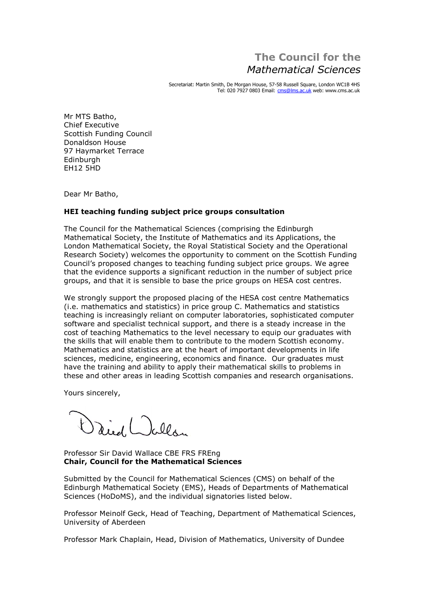## **The Council for the** *Sciences*

Secretariat: Martin Smith, De Morgan House, 57-58 Russell Square, London WC1B 4HS Tel: 020 7927 0803 Email: [cms@lms.ac.uk](mailto:cms@lms.ac.uk) web: [www.cms.ac.uk](http://www.cms.ac.uk)

Mr MTS Batho, Mr MTS Batho,<br>Chief Executive Chief Executive<br>Scottish Funding Council<br>Donaldson House Donaldson House Donaldson House<br>97 Haymarket Terrace Edinburgh **FH12 5HD** 

Dear Mr Batho,

## **teaching funding subject price groups consultation**

The Council for the Mathematical Sciences (comprising the Edinburgh The Council for the Mathematical Sciences (comprising the Edinburgh<br>Mathematical Society, the Institute of Mathematics and its Applications, the Mathematical Society, the Institute of Mathematics and its Applications, the<br>London Mathematical Society, the Royal Statistical Society and the Operational London Mathematical Society, the Royal Statistical Society and the Operational<br>Research Society) welcomes the opportunity to comment on the Scottish Funding Research Society) welcomes the opportunity to comment on the Scottish Funding<br>Council's proposed changes to teaching funding subject price groups. We agree Council's proposed changes to teaching funding subject price groups. We agree<br>that the evidence supports a significant reduction in the number of subject price groups, and that it is sensible to base the price groups on HESA cost centres.

We strongly support the proposed placing of the HESA cost centre Mathematics We strongly support the proposed placing of the HESA cost centre Mathematics<br>(i.e. mathematics and statistics) in price group C. Mathematics and statistics (i.e. mathematics and statistics) in price group C. Mathematics and statistics<br>teaching is increasingly reliant on computer laboratories, sophisticated computer teaching is increasingly reliant on computer laboratories, sophisticated computer<br>software and specialist technical support, and there is a steady increase in the software and specialist technical support, and there is a steady increase in the<br>cost of teaching Mathematics to the level necessary to equip our graduates with the skills that will enable them to contribute to the modern Scottish economy. the skills that will enable them to contribute to the modern Scottish economy.<br>Mathematics and statistics are at the heart of important developments in life Mathematics and statistics are at the heart of important developments in life<br>sciences, medicine, engineering, economics and finance. Our graduates must sciences, medicine, engineering, economics and finance. Our graduates must<br>have the training and ability to apply their mathematical skills to problems in and other areas in leading Scottish companies and research organisations.

Yours sincerely,

Daid Lolla

## Professor Sir David Wallace CBE FRS FREng **Council for the Mathematical Sciences**

Submitted by the Council for Mathematical Sciences (CMS) on behalf of the Submitted by the Council for Mathematical Sciences (CMS) on behalf of the<br>Edinburgh Mathematical Society (EMS), Heads of Departments of Mathematical Sciences (HoDoMS), and the individual signatories listed below.

Professor Meinolf Geck, Head of Teaching, Department of Mathematical Sciences, 1einolf Geck, Head of<br>of Aberdeen

Professor Mark Chaplain, Head, Division of Mathematics, University of Dundee